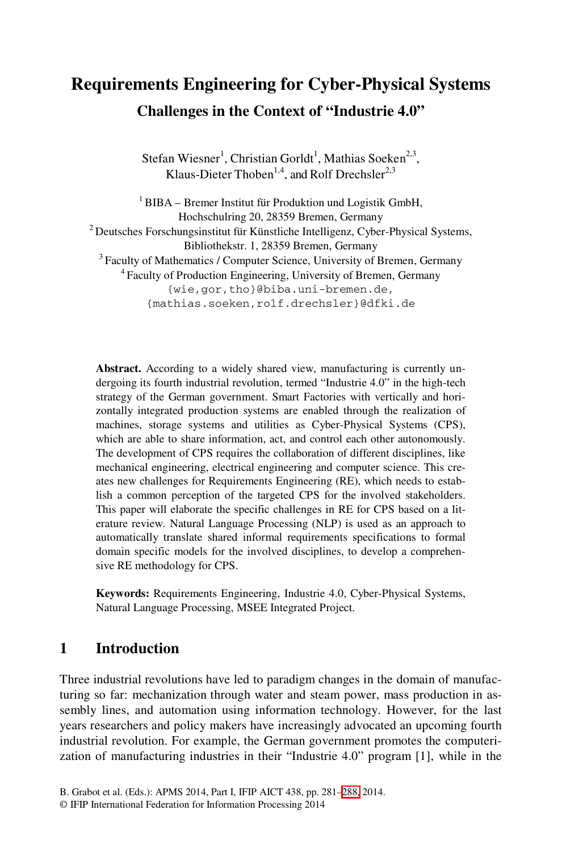# **Requirements Engineering for Cyber-Physical Systems Challenges in the Context of "Industrie 4.0"**

Stefan Wiesner<sup>1</sup>, Christian Gorldt<sup>1</sup>, Mathias Soeken<sup>2,3</sup>, Klaus-Dieter Thoben<sup>1,4</sup>, and Rolf Drechsler<sup>2,3</sup>

<sup>1</sup> BIBA – Bremer Institut für Produktion und Logistik GmbH, Hochschulring 20, 28359 Bremen, Germany 2 Deutsches Forschungsinstitut für Künstliche Intelligenz, Cyber-Physical Systems, Bibliothekstr. 1, 28359 Bremen, Germany 3 Faculty of Mathematics / Computer Science, University of Bremen, Germany 4 Faculty of Production Engineering, University of Bremen, Germany {wie,gor,tho}@biba.uni-bremen.de, {mathias.soeken,rolf.drechsler}@dfki.de

**Abstract.** According to a widely shared view, manufacturing is currently undergoing its fourth industrial revolution, termed "Industrie 4.0" in the high-tech strategy of the German government. Smart Factories with vertically and horizontally integrated production systems are enabled through the realization of machines, storage systems and utilities as Cyber-Physical Systems (CPS), which are able to share information, act, and control each other autonomously. The development of CPS requires the collaboration of different disciplines, like mechanical engineering, electrical engineering and computer science. This creates new challenges for Requirements Engineering (RE), which needs to establish a common perception of the targeted CPS for the involved stakeholders. This paper will elaborate the specific challenges in RE for CPS based on a literature review. Natural Language Processing (NLP) is used as an approach to automatically translate shared informal requirements specifications to formal domain specific models for the involved disciplines, to develop a comprehensive RE methodology for CPS.

**Keywords:** Requirements Engineering, Industrie 4.0, Cyber-Physical Systems, Natural Language Processing, MSEE Integrated Project.

#### **1 Introduction**

Three industrial revolutions have l[ed to](#page-7-0) paradigm changes in the domain of manufacturing so far: mechanization through water and steam power, mass production in assembly lines, and automation using information technology. However, for the last years researchers and policy makers have increasingly advocated an upcoming fourth industrial revolution. For example, the German government promotes the computerization of manufacturing industries in their "Industrie 4.0" program [1], while in the

B. Grabot et al. (Eds.): APMS 2014, Part I, IFIP AICT 438, pp. 281–288, 2014.

<sup>©</sup> IFIP International Federation for Information Processing 2014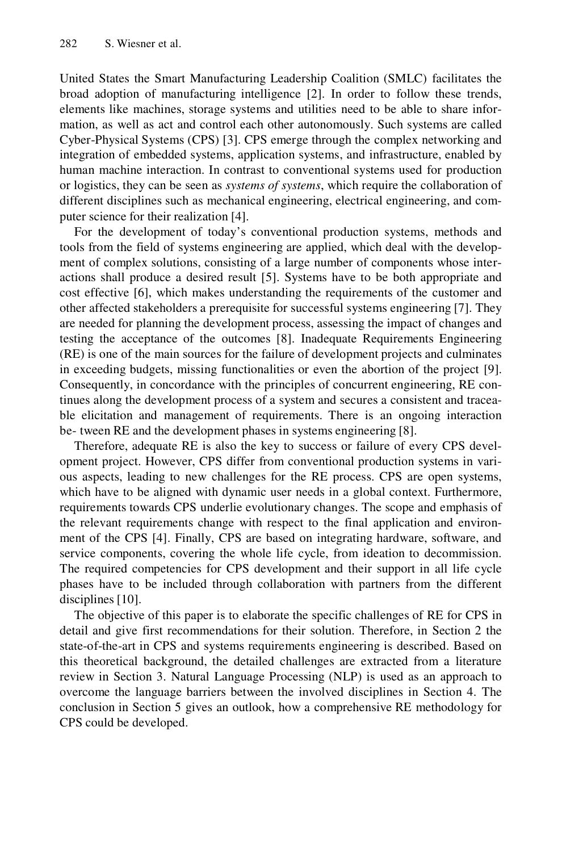United States the Smart Manufacturing Leadership Coalition (SMLC) facilitates the broad adoption of manufacturing intelligence [2]. In order to follow these trends, elements like machines, storage systems and utilities need to be able to share information, as well as act and control each other autonomously. Such systems are called Cyber-Physical Systems (CPS) [3]. CPS emerge through the complex networking and integration of embedded systems, application systems, and infrastructure, enabled by human machine interaction. In contrast to conventional systems used for production or logistics, they can be seen as *systems of systems*, which require the collaboration of different disciplines such as mechanical engineering, electrical engineering, and computer science for their realization [4].

For the development of today's conventional production systems, methods and tools from the field of systems engineering are applied, which deal with the development of complex solutions, consisting of a large number of components whose interactions shall produce a desired result [5]. Systems have to be both appropriate and cost effective [6], which makes understanding the requirements of the customer and other affected stakeholders a prerequisite for successful systems engineering [7]. They are needed for planning the development process, assessing the impact of changes and testing the acceptance of the outcomes [8]. Inadequate Requirements Engineering (RE) is one of the main sources for the failure of development projects and culminates in exceeding budgets, missing functionalities or even the abortion of the project [9]. Consequently, in concordance with the principles of concurrent engineering, RE continues along the development process of a system and secures a consistent and traceable elicitation and management of requirements. There is an ongoing interaction be- tween RE and the development phases in systems engineering [8].

Therefore, adequate RE is also the key to success or failure of every CPS development project. However, CPS differ from conventional production systems in various aspects, leading to new challenges for the RE process. CPS are open systems, which have to be aligned with dynamic user needs in a global context. Furthermore, requirements towards CPS underlie evolutionary changes. The scope and emphasis of the relevant requirements change with respect to the final application and environment of the CPS [4]. Finally, CPS are based on integrating hardware, software, and service components, covering the whole life cycle, from ideation to decommission. The required competencies for CPS development and their support in all life cycle phases have to be included through collaboration with partners from the different disciplines [10].

The objective of this paper is to elaborate the specific challenges of RE for CPS in detail and give first recommendations for their solution. Therefore, in Section 2 the state-of-the-art in CPS and systems requirements engineering is described. Based on this theoretical background, the detailed challenges are extracted from a literature review in Section 3. Natural Language Processing (NLP) is used as an approach to overcome the language barriers between the involved disciplines in Section 4. The conclusion in Section 5 gives an outlook, how a comprehensive RE methodology for CPS could be developed.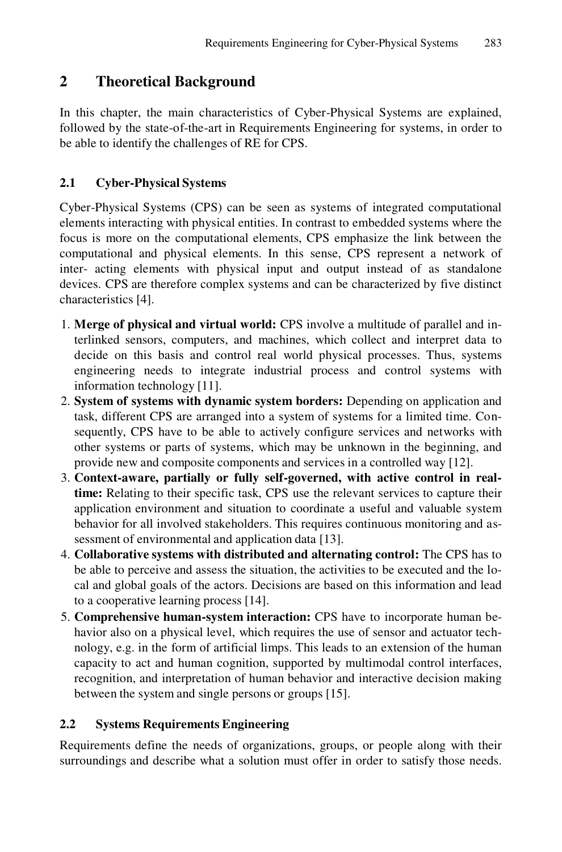# **2 Theoretical Background**

In this chapter, the main characteristics of Cyber-Physical Systems are explained, followed by the state-of-the-art in Requirements Engineering for systems, in order to be able to identify the challenges of RE for CPS.

### **2.1 Cyber-Physical Systems**

Cyber-Physical Systems (CPS) can be seen as systems of integrated computational elements interacting with physical entities. In contrast to embedded systems where the focus is more on the computational elements, CPS emphasize the link between the computational and physical elements. In this sense, CPS represent a network of inter- acting elements with physical input and output instead of as standalone devices. CPS are therefore complex systems and can be characterized by five distinct characteristics [4].

- 1. **Merge of physical and virtual world:** CPS involve a multitude of parallel and interlinked sensors, computers, and machines, which collect and interpret data to decide on this basis and control real world physical processes. Thus, systems engineering needs to integrate industrial process and control systems with information technology [11].
- 2. **System of systems with dynamic system borders:** Depending on application and task, different CPS are arranged into a system of systems for a limited time. Consequently, CPS have to be able to actively configure services and networks with other systems or parts of systems, which may be unknown in the beginning, and provide new and composite components and services in a controlled way [12].
- 3. **Context-aware, partially or fully self-governed, with active control in realtime:** Relating to their specific task, CPS use the relevant services to capture their application environment and situation to coordinate a useful and valuable system behavior for all involved stakeholders. This requires continuous monitoring and assessment of environmental and application data [13].
- 4. **Collaborative systems with distributed and alternating control:** The CPS has to be able to perceive and assess the situation, the activities to be executed and the local and global goals of the actors. Decisions are based on this information and lead to a cooperative learning process [14].
- 5. **Comprehensive human-system interaction:** CPS have to incorporate human behavior also on a physical level, which requires the use of sensor and actuator technology, e.g. in the form of artificial limps. This leads to an extension of the human capacity to act and human cognition, supported by multimodal control interfaces, recognition, and interpretation of human behavior and interactive decision making between the system and single persons or groups [15].

## **2.2 Systems Requirements Engineering**

Requirements define the needs of organizations, groups, or people along with their surroundings and describe what a solution must offer in order to satisfy those needs.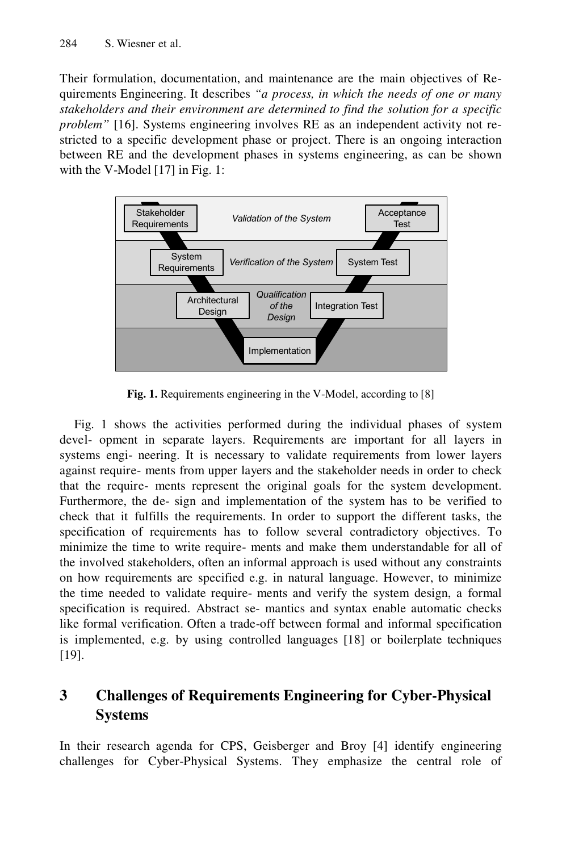Their formulation, documentation, and maintenance are the main objectives of Requirements Engineering. It describes *"a process, in which the needs of one or many stakeholders and their environment are determined to find the solution for a specific problem"* [16]. Systems engineering involves RE as an independent activity not restricted to a specific development phase or project. There is an ongoing interaction between RE and the development phases in systems engineering, as can be shown with the V-Model [17] in Fig. 1:



**Fig. 1.** Requirements engineering in the V-Model, according to [8]

Fig. 1 shows the activities performed during the individual phases of system devel- opment in separate layers. Requirements are important for all layers in systems engi- neering. It is necessary to validate requirements from lower layers against require- ments from upper layers and the stakeholder needs in order to check that the require- ments represent the original goals for the system development. Furthermore, the de- sign and implementation of the system has to be verified to check that it fulfills the requirements. In order to support the different tasks, the specification of requirements has to follow several contradictory objectives. To minimize the time to write require- ments and make them understandable for all of the involved stakeholders, often an informal approach is used without any constraints on how requirements are specified e.g. in natural language. However, to minimize the time needed to validate require- ments and verify the system design, a formal specification is required. Abstract se- mantics and syntax enable automatic checks like formal verification. Often a trade-off between formal and informal specification is implemented, e.g. by using controlled languages [18] or boilerplate techniques [19].

# **3 Challenges of Requirements Engineering for Cyber-Physical Systems**

In their research agenda for CPS, Geisberger and Broy [4] identify engineering challenges for Cyber-Physical Systems. They emphasize the central role of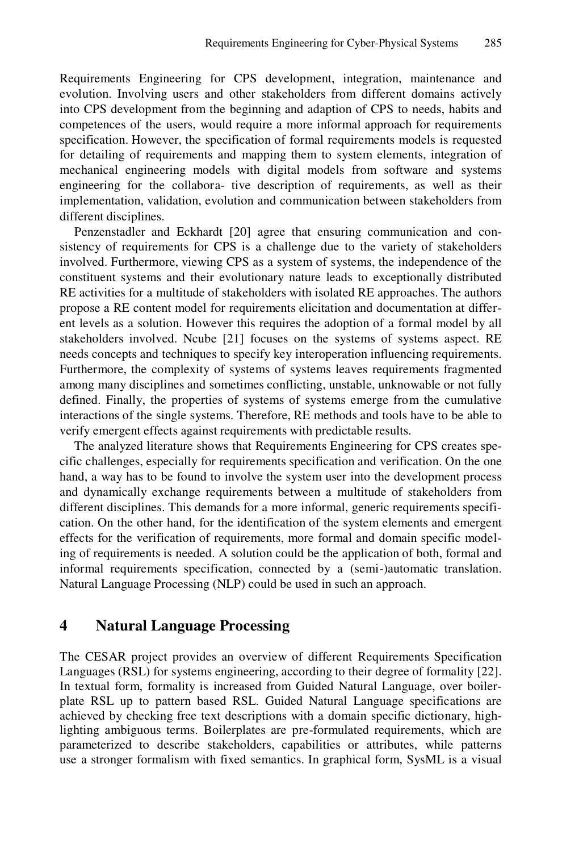Requirements Engineering for CPS development, integration, maintenance and evolution. Involving users and other stakeholders from different domains actively into CPS development from the beginning and adaption of CPS to needs, habits and competences of the users, would require a more informal approach for requirements specification. However, the specification of formal requirements models is requested for detailing of requirements and mapping them to system elements, integration of mechanical engineering models with digital models from software and systems engineering for the collabora- tive description of requirements, as well as their implementation, validation, evolution and communication between stakeholders from different disciplines.

Penzenstadler and Eckhardt [20] agree that ensuring communication and consistency of requirements for CPS is a challenge due to the variety of stakeholders involved. Furthermore, viewing CPS as a system of systems, the independence of the constituent systems and their evolutionary nature leads to exceptionally distributed RE activities for a multitude of stakeholders with isolated RE approaches. The authors propose a RE content model for requirements elicitation and documentation at different levels as a solution. However this requires the adoption of a formal model by all stakeholders involved. Ncube [21] focuses on the systems of systems aspect. RE needs concepts and techniques to specify key interoperation influencing requirements. Furthermore, the complexity of systems of systems leaves requirements fragmented among many disciplines and sometimes conflicting, unstable, unknowable or not fully defined. Finally, the properties of systems of systems emerge from the cumulative interactions of the single systems. Therefore, RE methods and tools have to be able to verify emergent effects against requirements with predictable results.

The analyzed literature shows that Requirements Engineering for CPS creates specific challenges, especially for requirements specification and verification. On the one hand, a way has to be found to involve the system user into the development process and dynamically exchange requirements between a multitude of stakeholders from different disciplines. This demands for a more informal, generic requirements specification. On the other hand, for the identification of the system elements and emergent effects for the verification of requirements, more formal and domain specific modeling of requirements is needed. A solution could be the application of both, formal and informal requirements specification, connected by a (semi-)automatic translation. Natural Language Processing (NLP) could be used in such an approach.

#### **4 Natural Language Processing**

The CESAR project provides an overview of different Requirements Specification Languages (RSL) for systems engineering, according to their degree of formality [22]. In textual form, formality is increased from Guided Natural Language, over boilerplate RSL up to pattern based RSL. Guided Natural Language specifications are achieved by checking free text descriptions with a domain specific dictionary, highlighting ambiguous terms. Boilerplates are pre-formulated requirements, which are parameterized to describe stakeholders, capabilities or attributes, while patterns use a stronger formalism with fixed semantics. In graphical form, SysML is a visual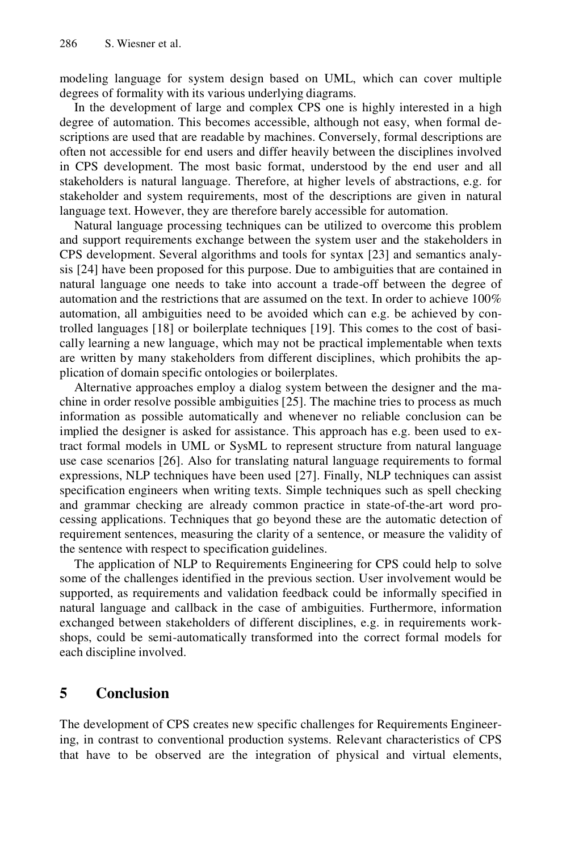modeling language for system design based on UML, which can cover multiple degrees of formality with its various underlying diagrams.

In the development of large and complex CPS one is highly interested in a high degree of automation. This becomes accessible, although not easy, when formal descriptions are used that are readable by machines. Conversely, formal descriptions are often not accessible for end users and differ heavily between the disciplines involved in CPS development. The most basic format, understood by the end user and all stakeholders is natural language. Therefore, at higher levels of abstractions, e.g. for stakeholder and system requirements, most of the descriptions are given in natural language text. However, they are therefore barely accessible for automation.

Natural language processing techniques can be utilized to overcome this problem and support requirements exchange between the system user and the stakeholders in CPS development. Several algorithms and tools for syntax [23] and semantics analysis [24] have been proposed for this purpose. Due to ambiguities that are contained in natural language one needs to take into account a trade-off between the degree of automation and the restrictions that are assumed on the text. In order to achieve 100% automation, all ambiguities need to be avoided which can e.g. be achieved by controlled languages [18] or boilerplate techniques [19]. This comes to the cost of basically learning a new language, which may not be practical implementable when texts are written by many stakeholders from different disciplines, which prohibits the application of domain specific ontologies or boilerplates.

Alternative approaches employ a dialog system between the designer and the machine in order resolve possible ambiguities [25]. The machine tries to process as much information as possible automatically and whenever no reliable conclusion can be implied the designer is asked for assistance. This approach has e.g. been used to extract formal models in UML or SysML to represent structure from natural language use case scenarios [26]. Also for translating natural language requirements to formal expressions, NLP techniques have been used [27]. Finally, NLP techniques can assist specification engineers when writing texts. Simple techniques such as spell checking and grammar checking are already common practice in state-of-the-art word processing applications. Techniques that go beyond these are the automatic detection of requirement sentences, measuring the clarity of a sentence, or measure the validity of the sentence with respect to specification guidelines.

The application of NLP to Requirements Engineering for CPS could help to solve some of the challenges identified in the previous section. User involvement would be supported, as requirements and validation feedback could be informally specified in natural language and callback in the case of ambiguities. Furthermore, information exchanged between stakeholders of different disciplines, e.g. in requirements workshops, could be semi-automatically transformed into the correct formal models for each discipline involved.

#### **5 Conclusion**

The development of CPS creates new specific challenges for Requirements Engineering, in contrast to conventional production systems. Relevant characteristics of CPS that have to be observed are the integration of physical and virtual elements,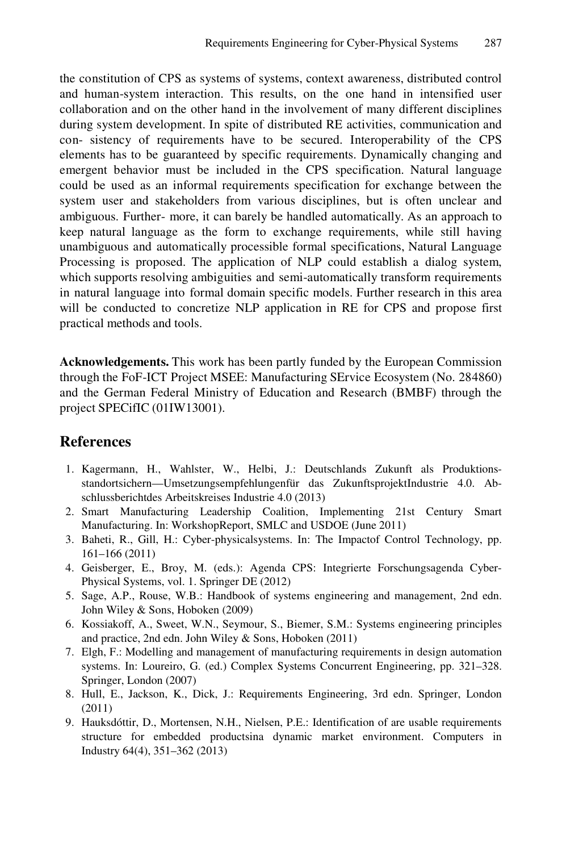the constitution of CPS as systems of systems, context awareness, distributed control and human-system interaction. This results, on the one hand in intensified user collaboration and on the other hand in the involvement of many different disciplines during system development. In spite of distributed RE activities, communication and con- sistency of requirements have to be secured. Interoperability of the CPS elements has to be guaranteed by specific requirements. Dynamically changing and emergent behavior must be included in the CPS specification. Natural language could be used as an informal requirements specification for exchange between the system user and stakeholders from various disciplines, but is often unclear and ambiguous. Further- more, it can barely be handled automatically. As an approach to keep natural language as the form to exchange requirements, while still having unambiguous and automatically processible formal specifications, Natural Language Processing is proposed. The application of NLP could establish a dialog system, which supports resolving ambiguities and semi-automatically transform requirements in natural language into formal domain specific models. Further research in this area will be conducted to concretize NLP application in RE for CPS and propose first practical methods and tools.

**Acknowledgements.** This work has been partly funded by the European Commission through the FoF-ICT Project MSEE: Manufacturing SErvice Ecosystem (No. 284860) and the German Federal Ministry of Education and Research (BMBF) through the project SPECifIC (01IW13001).

## **References**

- 1. Kagermann, H., Wahlster, W., Helbi, J.: Deutschlands Zukunft als Produktionsstandortsichern—Umsetzungsempfehlungenfür das ZukunftsprojektIndustrie 4.0. Abschlussberichtdes Arbeitskreises Industrie 4.0 (2013)
- 2. Smart Manufacturing Leadership Coalition, Implementing 21st Century Smart Manufacturing. In: WorkshopReport, SMLC and USDOE (June 2011)
- 3. Baheti, R., Gill, H.: Cyber-physicalsystems. In: The Impactof Control Technology, pp. 161–166 (2011)
- 4. Geisberger, E., Broy, M. (eds.): Agenda CPS: Integrierte Forschungsagenda Cyber-Physical Systems, vol. 1. Springer DE (2012)
- 5. Sage, A.P., Rouse, W.B.: Handbook of systems engineering and management, 2nd edn. John Wiley & Sons, Hoboken (2009)
- 6. Kossiakoff, A., Sweet, W.N., Seymour, S., Biemer, S.M.: Systems engineering principles and practice, 2nd edn. John Wiley & Sons, Hoboken (2011)
- 7. Elgh, F.: Modelling and management of manufacturing requirements in design automation systems. In: Loureiro, G. (ed.) Complex Systems Concurrent Engineering, pp. 321–328. Springer, London (2007)
- 8. Hull, E., Jackson, K., Dick, J.: Requirements Engineering, 3rd edn. Springer, London (2011)
- 9. Hauksdóttir, D., Mortensen, N.H., Nielsen, P.E.: Identification of are usable requirements structure for embedded productsina dynamic market environment. Computers in Industry 64(4), 351–362 (2013)